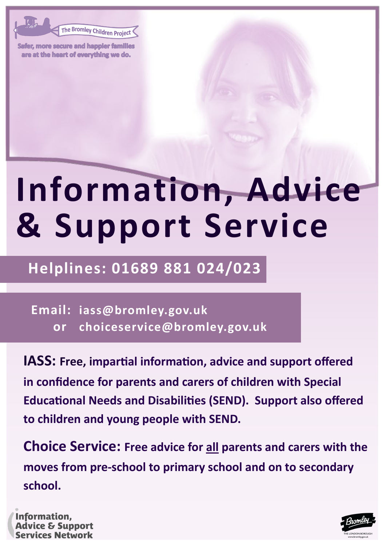The Bromley Children Project

Safer, more secure and happier families are at the heart of everything we do.

# **Information, Advice & Support Service**

### **Helplines: 01689 881 024/023**

**Email: iass@bromley.gov.uk or choiceservice@bromley.gov.uk**

**IASS: Free, impartial information, advice and support offered in confidence for parents and carers of children with Special Educational Needs and Disabilities (SEND). Support also offered to children and young people with SEND.**

**Choice Service: Free advice for all parents and carers with the moves from pre-school to primary school and on to secondary school.**

Information, **Advice & Support Services Network** 

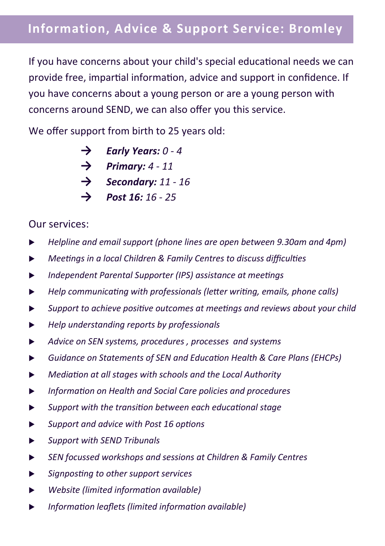If you have concerns about your child's special educational needs we can provide free, impartial information, advice and support in confidence. If you have concerns about a young person or are a young person with concerns around SEND, we can also offer you this service.

We offer support from birth to 25 years old:

- **→** *Early Years: 0 - 4*
- **→** *Primary: 4 - 11*
- **→** *Secondary: 11 - 16*
- **→** *Post 16: 16 - 25*

#### Our services:

- *Helpline and email support (phone lines are open between 9.30am and 4pm)*
- *Meetings in a local Children & Family Centres to discuss difficulties*
- *Independent Parental Supporter (IPS) assistance at meetings*
- *Help communicating with professionals (letter writing, emails, phone calls)*
- *Support to achieve positive outcomes at meetings and reviews about your child*
- *Help understanding reports by professionals*
- *Advice on SEN systems, procedures , processes and systems*
- *Guidance on Statements of SEN and Education Health & Care Plans (EHCPs)*
- *Mediation at all stages with schools and the Local Authority*
- *Information on Health and Social Care policies and procedures*
- *Support with the transition between each educational stage*
- *Support and advice with Post 16 options*
- *Support with SEND Tribunals*
- *SEN focussed workshops and sessions at Children & Family Centres*
- *Signposting to other support services*
- *Website (limited information available)*
- *Information leaflets (limited information available)*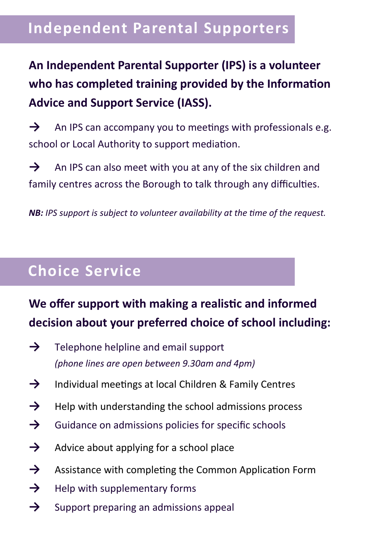#### **Independent Parental Supporters**

#### **An Independent Parental Supporter (IPS) is a volunteer who has completed training provided by the Information Advice and Support Service (IASS).**

→ An IPS can accompany you to meetings with professionals e.g. school or Local Authority to support mediation.

→ An IPS can also meet with you at any of the six children and family centres across the Borough to talk through any difficulties.

*NB: IPS support is subject to volunteer availability at the time of the request.*

## **Choice Service**

#### **We offer support with making a realistic and informed decision about your preferred choice of school including:**

- **→** Telephone helpline and email support *(phone lines are open between 9.30am and 4pm)*
- **→** Individual meetings at local Children & Family Centres
- **→** Help with understanding the school admissions process
- **→** Guidance on admissions policies for specific schools
- **→** Advice about applying for a school place
- **→** Assistance with completing the Common Application Form
- **→** Help with supplementary forms
- **→** Support preparing an admissions appeal